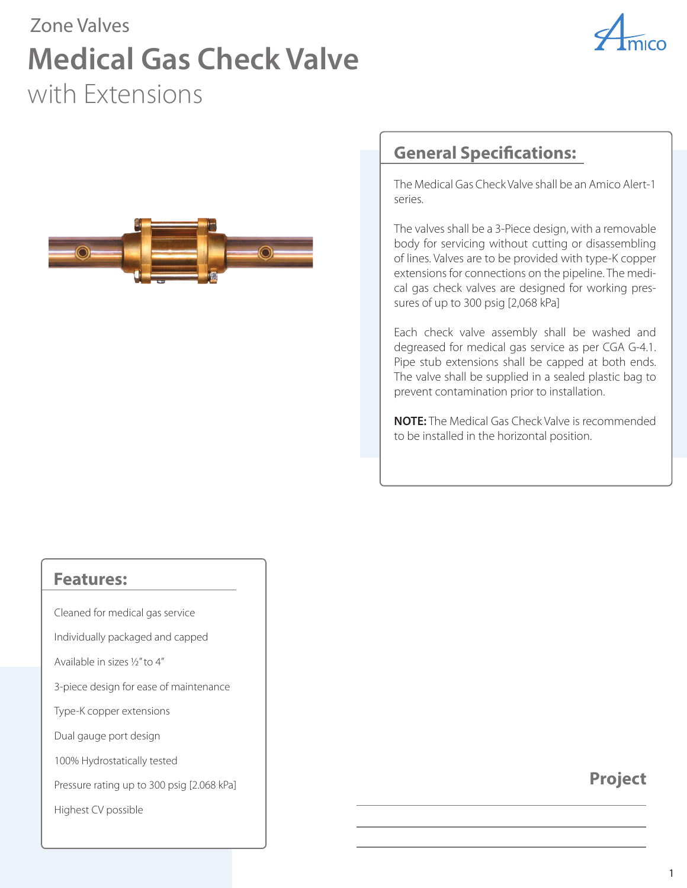## Zone Valves **Medical Gas Check Valve** with Extensions





#### **General Specifications:**

The Medical Gas Check Valve shall be an Amico Alert-1 series.

The valves shall be a 3-Piece design, with a removable body for servicing without cutting or disassembling of lines. Valves are to be provided with type-K copper extensions for connections on the pipeline. The medical gas check valves are designed for working pressures of up to 300 psig [2,068 kPa]

Each check valve assembly shall be washed and degreased for medical gas service as per CGA G-4.1. Pipe stub extensions shall be capped at both ends. The valve shall be supplied in a sealed plastic bag to prevent contamination prior to installation.

**NOTE:** The Medical Gas Check Valve is recommended to be installed in the horizontal position.

#### **Features:**

Cleaned for medical gas service

Individually packaged and capped

Available in sizes ½" to 4"

3-piece design for ease of maintenance

Type-K copper extensions

Dual gauge port design

100% Hydrostatically tested

Pressure rating up to 300 psig [2.068 kPa]

Highest CV possible

#### **Project**

1